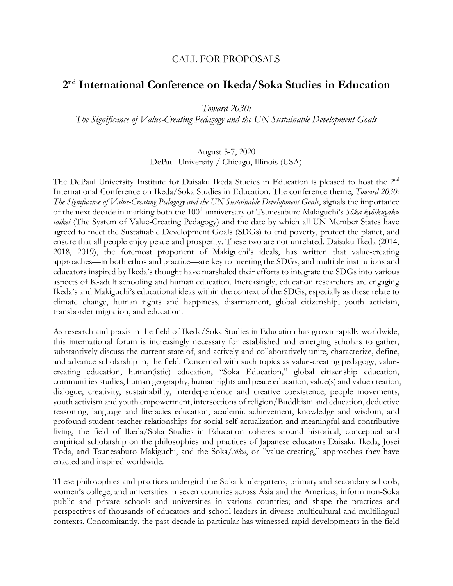### CALL FOR PROPOSALS

# **2nd International Conference on Ikeda/Soka Studies in Education**

*Toward 2030:* 

*The Significance of Value-Creating Pedagogy and the UN Sustainable Development Goals*

#### August 5-7, 2020 DePaul University / Chicago, Illinois (USA)

The DePaul University Institute for Daisaku Ikeda Studies in Education is pleased to host the 2nd International Conference on Ikeda/Soka Studies in Education. The conference theme, *Toward 2030: The Significance of Value-Creating Pedagogy and the UN Sustainable Development Goals*, signals the importance of the next decade in marking both the 100th anniversary of Tsunesaburo Makiguchi's *Sōka kyōikugaku taikei* (The System of Value-Creating Pedagogy) and the date by which all UN Member States have agreed to meet the Sustainable Development Goals (SDGs) to end poverty, protect the planet, and ensure that all people enjoy peace and prosperity. These two are not unrelated. Daisaku Ikeda (2014, 2018, 2019), the foremost proponent of Makiguchi's ideals, has written that value-creating approaches—in both ethos and practice—are key to meeting the SDGs, and multiple institutions and educators inspired by Ikeda's thought have marshaled their efforts to integrate the SDGs into various aspects of K-adult schooling and human education. Increasingly, education researchers are engaging Ikeda's and Makiguchi's educational ideas within the context of the SDGs, especially as these relate to climate change, human rights and happiness, disarmament, global citizenship, youth activism, transborder migration, and education.

As research and praxis in the field of Ikeda/Soka Studies in Education has grown rapidly worldwide, this international forum is increasingly necessary for established and emerging scholars to gather, substantively discuss the current state of, and actively and collaboratively unite, characterize, define, and advance scholarship in, the field. Concerned with such topics as value-creating pedagogy, valuecreating education, human(istic) education, "Soka Education," global citizenship education, communities studies, human geography, human rights and peace education, value(s) and value creation, dialogue, creativity, sustainability, interdependence and creative coexistence, people movements, youth activism and youth empowerment, intersections of religion/Buddhism and education, deductive reasoning, language and literacies education, academic achievement, knowledge and wisdom, and profound student-teacher relationships for social self-actualization and meaningful and contributive living, the field of Ikeda/Soka Studies in Education coheres around historical, conceptual and empirical scholarship on the philosophies and practices of Japanese educators Daisaku Ikeda, Josei Toda, and Tsunesaburo Makiguchi, and the Soka/*sōka*, or "value-creating," approaches they have enacted and inspired worldwide.

These philosophies and practices undergird the Soka kindergartens, primary and secondary schools, women's college, and universities in seven countries across Asia and the Americas; inform non-Soka public and private schools and universities in various countries; and shape the practices and perspectives of thousands of educators and school leaders in diverse multicultural and multilingual contexts. Concomitantly, the past decade in particular has witnessed rapid developments in the field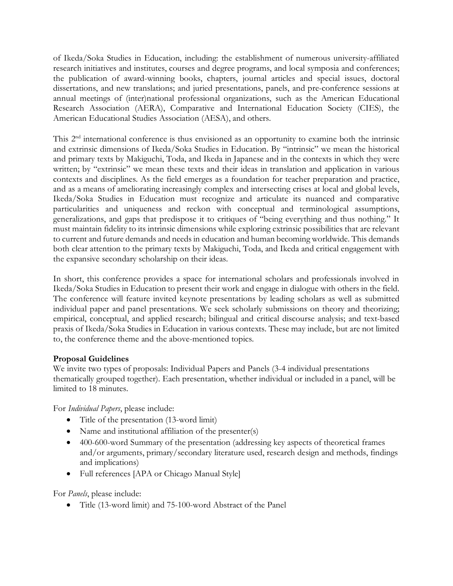of Ikeda/Soka Studies in Education, including: the establishment of numerous university-affiliated research initiatives and institutes, courses and degree programs, and local symposia and conferences; the publication of award-winning books, chapters, journal articles and special issues, doctoral dissertations, and new translations; and juried presentations, panels, and pre-conference sessions at annual meetings of (inter)national professional organizations, such as the American Educational Research Association (AERA), Comparative and International Education Society (CIES), the American Educational Studies Association (AESA), and others.

This 2<sup>nd</sup> international conference is thus envisioned as an opportunity to examine both the intrinsic and extrinsic dimensions of Ikeda/Soka Studies in Education. By "intrinsic" we mean the historical and primary texts by Makiguchi, Toda, and Ikeda in Japanese and in the contexts in which they were written; by "extrinsic" we mean these texts and their ideas in translation and application in various contexts and disciplines. As the field emerges as a foundation for teacher preparation and practice, and as a means of ameliorating increasingly complex and intersecting crises at local and global levels, Ikeda/Soka Studies in Education must recognize and articulate its nuanced and comparative particularities and uniqueness and reckon with conceptual and terminological assumptions, generalizations, and gaps that predispose it to critiques of "being everything and thus nothing." It must maintain fidelity to its intrinsic dimensions while exploring extrinsic possibilities that are relevant to current and future demands and needs in education and human becoming worldwide. This demands both clear attention to the primary texts by Makiguchi, Toda, and Ikeda and critical engagement with the expansive secondary scholarship on their ideas.

In short, this conference provides a space for international scholars and professionals involved in Ikeda/Soka Studies in Education to present their work and engage in dialogue with others in the field. The conference will feature invited keynote presentations by leading scholars as well as submitted individual paper and panel presentations. We seek scholarly submissions on theory and theorizing; empirical, conceptual, and applied research; bilingual and critical discourse analysis; and text-based praxis of Ikeda/Soka Studies in Education in various contexts. These may include, but are not limited to, the conference theme and the above-mentioned topics.

#### **Proposal Guidelines**

We invite two types of proposals: Individual Papers and Panels (3-4 individual presentations thematically grouped together). Each presentation, whether individual or included in a panel, will be limited to 18 minutes.

For *Individual Papers*, please include:

- Title of the presentation (13-word limit)
- Name and institutional affiliation of the presenter(s)
- 400-600-word Summary of the presentation (addressing key aspects of theoretical frames and/or arguments, primary/secondary literature used, research design and methods, findings and implications)
- Full references [APA or Chicago Manual Style]

For *Panels*, please include:

• Title (13-word limit) and 75-100-word Abstract of the Panel